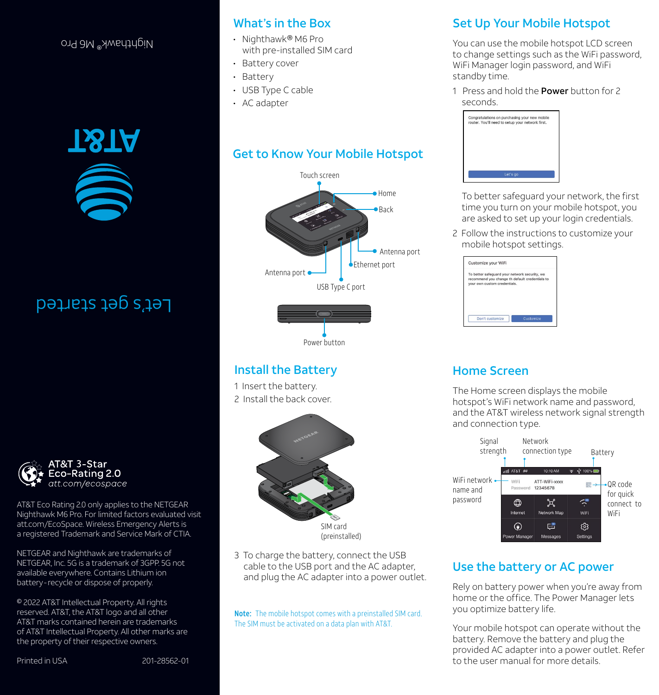### Nighthawk® M6 Pro



# Let's get started



AT&T Eco Rating 2.0 only applies to the NETGEAR Nighthawk M6 Pro. For limited factors evaluated visit att.com/EcoSpace. Wireless Emergency Alerts is a registered Trademark and Service Mark of CTIA.

NETGEAR and Nighthawk are trademarks of NETGEAR, Inc. 5G is a trademark of 3GPP. 5G not available everywhere. Contains Lithium ion battery-recycle or dispose of properly.

© 2022 AT&T Intellectual Property. All rights reserved. AT&T, the AT&T logo and all other AT&T marks contained herein are trademarks of AT&T Intellectual Property. All other marks are the property of their respective owners.

# What's in the Box

- Nighthawk® M6 Pro with pre-installed SIM card
- Battery cover
- Battery
- USB Type C cable
- AC adapter

# Get to Know Your Mobile Hotspot



## Install the Battery

1 Insert the battery. 2 Install the back cover.



3 To charge the battery, connect the USB cable to the USB port and the AC adapter, and plug the AC adapter into a power outlet.

Note: The mobile hotspot comes with a preinstalled SIM card. The SIM must be activated on a data plan with AT&T.

# Set Up Your Mobile Hotspot

You can use the mobile hotspot LCD screen to change settings such as the WiFi password, WiFi Manager login password, and WiFi standby time.

1 Press and hold the **Power** button for 2 seconds.



To better safeguard your network, the first time you turn on your mobile hotspot, you are asked to set up your login credentials.

2 Follow the instructions to customize your mobile hotspot settings.

| Customize your WiFi                                                                                                             |  |
|---------------------------------------------------------------------------------------------------------------------------------|--|
| To better safequard your network security, we<br>recommend you change th default credentials to<br>vour own custom credentials. |  |
|                                                                                                                                 |  |

# Home Screen

The Home screen displays the mobile hotspot's WiFi network name and password, and the AT&T wireless network signal strength and connection type.



# Use the battery or AC power

Rely on battery power when you're away from home or the office. The Power Manager lets you optimize battery life.

Your mobile hotspot can operate without the battery. Remove the battery and plug the provided AC adapter into a power outlet. Refer to the user manual for more details.

Printed in USA 201-28562-01